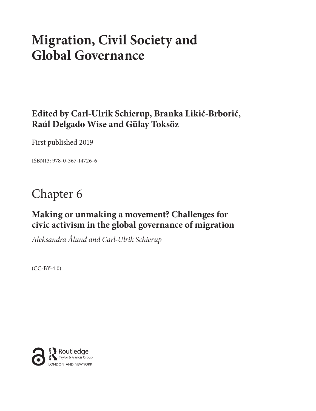# **Migration, Civil Society and Global Governance**

# **Edited by Carl-Ulrik Schierup, Branka Likić-Brborić, Raúl Delgado Wise and Gülay Toksöz**

First published 2019

ISBN13: 978-0-367-14726-6

# Chapter 6

# **Making or unmaking a movement? Challenges for civic activism in the global governance of migration**

*Aleksandra Ålund and Carl-Ulrik Schierup*

(CC-BY-4.0)

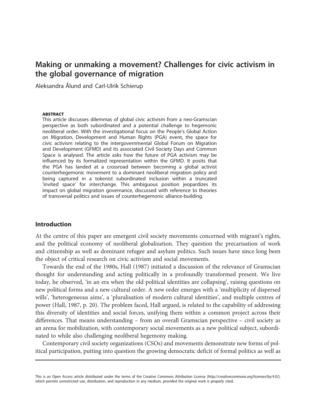## Making or unmaking a movement? Challenges for civic activism in the global governance of migration

Aleksandra Ålund and Carl-Ulrik Schierup

#### ABSTRACT

This article discusses dilemmas of global civic activism from a neo-Gramscian perspective as both subordinated and a potential challenge to hegemonic neoliberal order. With the investigational focus on the People's Global Action on Migration, Development and Human Rights (PGA) event, the space for civic activism relating to the intergovernmental Global Forum on Migration and Development (GFMD) and its associated Civil Society Days and Common Space is analysed. The article asks how the future of PGA activism may be influenced by its formalized representation within the GFMD. It posits that the PGA has landed at a crossroad between becoming a global activist counterhegemonic movement to a dominant neoliberal migration policy and being captured in a tokenist subordinated inclusion within a truncated 'invited space' for interchange. This ambiguous position jeopardizes its impact on global migration governance, discussed with reference to theories of transversal politics and issues of counterhegemonic alliance-building.

#### Introduction

At the centre of this paper are emergent civil society movements concerned with migrant's rights, and the political economy of neoliberal globalization. They question the precarisation of work and citizenship as well as dominant refugee and asylum politics. Such issues have since long been the object of critical research on civic activism and social movements.

Towards the end of the 1980s, Hall (1987) initiated a discussion of the relevance of Gramscian thought for understanding and acting politically in a profoundly transformed present. We live today, he observed, 'in an era when the old political identities are collapsing', raising questions on new political forms and a new cultural order. A new order emerges with a 'multiplicity of dispersed wills', 'heterogeneous aims', a 'pluralisation of modern cultural identities', and multiple centres of power (Hall, 1987, p. 20). The problem faced, Hall argued, is related to the capability of addressing this diversity of identities and social forces, unifying them within a common project across their differences. That means understanding – from an overall Gramscian perspective – civil society as an arena for mobilization, with contemporary social movements as a new political subject, subordinated to while also challenging neoliberal hegemony making.

Contemporary civil society organizations (CSOs) and movements demonstrate new forms of political participation, putting into question the growing democratic deficit of formal politics as well as

This is an Open Access article distributed under the terms of the Creative Commons Attribution License (http://creativecommons.org/licenses/by/4.0/), which permits unrestricted use, distribution, and reproduction in any medium, provided the original work is properly cited.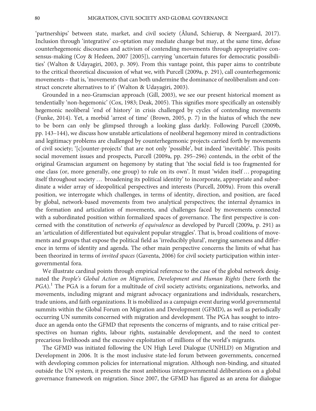'partnerships' between state, market, and civil society (Ålund, Schierup, & Neergaard, 2017). Inclusion through 'integrative' co-optation may mediate change but may, at the same time, defuse counterhegemonic discourses and activism of contending movements through appropriative consensus-making (Coy & Hedeen, 2007 [2005]), carrying 'uncertain futures for democratic possibilities' (Walton & Udayagiri, 2003, p. 309). From this vantage point, this paper aims to contribute to the critical theoretical discussion of what we, with Purcell (2009a, p. 291), call counterhegemonic movements – that is, 'movements that can both undermine the dominance of neoliberalism and construct concrete alternatives to it' (Walton & Udayagiri, 2003).

Grounded in a neo-Gramscian approach (Gill, 2003), we see our present historical moment as tendentially 'non-hegemonic' (Cox, 1983; Deak, 2005). This signifies more specifically an ostensibly hegemonic neoliberal 'end of history' in crisis challenged by cycles of contending movements (Funke, 2014). Yet, a morbid 'arrest of time' (Brown, 2005, p. 7) in the hiatus of which the new to be born can only be glimpsed through a looking glass darkly. Following Purcell (2009b, pp. 143–144), we discuss how unstable articulations of neoliberal hegemony mired in contradictions and legitimacy problems are challenged by counterhegemonic projects carried forth by movements of civil society; '[c]ounter-projects' that are not only 'possible', but indeed 'inevitable'. This posits social movement issues and prospects, Purcell (2009a, pp. 295–296) contends, in the orbit of the original Gramscian argument on hegemony by stating that 'the social field is too fragmented for one class (or, more generally, one group) to rule on its own'. It must 'widen itself … propagating itself throughout society … broadening its political identity' to incorporate, appropriate and subordinate a wider array of ideopolitical perspectives and interests (Purcell, 2009a). From this overall position, we interrogate which challenges, in terms of identity, direction, and position, are faced by global, network-based movements from two analytical perspectives; the internal dynamics in the formation and articulation of movements, and challenges faced by movements connected with a subordinated position within formalized spaces of governance. The first perspective is concerned with the constitution of networks of equivalence as developed by Purcell (2009a, p. 291) as an 'articulation of differentiated but equivalent popular struggles'. That is, broad coalitions of movements and groups that expose the political field as 'irreducibly plural', merging sameness and difference in terms of identity and agenda. The other main perspective concerns the limits of what has been theorized in terms of invited spaces (Gaventa, 2006) for civil society participation within intergovernmental fora.

We illustrate cardinal points through empirical reference to the case of the global network designated the People's Global Action on Migration, Development and Human Rights (here forth the PGA).<sup>1</sup> The PGA is a forum for a multitude of civil society activists; organizations, networks, and movements, including migrant and migrant advocacy organizations and individuals, researchers, trade unions, and faith organizations. It is mobilized as a campaign event during world governmental summits within the Global Forum on Migration and Development (GFMD), as well as periodically occurring UN summits concerned with migration and development. The PGA has sought to introduce an agenda onto the GFMD that represents the concerns of migrants, and to raise critical perspectives on human rights, labour rights, sustainable development, and the need to contest precarious livelihoods and the excessive exploitation of millions of the world's migrants.

The GFMD was initiated following the UN High Level Dialogue (UNHLD) on Migration and Development in 2006. It is the most inclusive state-led forum between governments, concerned with developing common policies for international migration. Although non-binding, and situated outside the UN system, it presents the most ambitious intergovernmental deliberations on a global governance framework on migration. Since 2007, the GFMD has figured as an arena for dialogue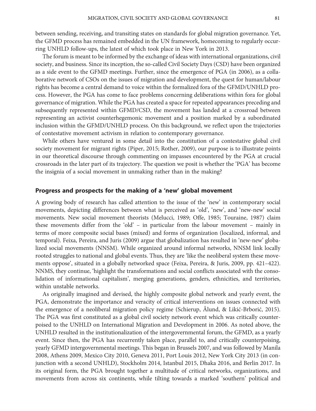between sending, receiving, and transiting states on standards for global migration governance. Yet, the GFMD process has remained embedded in the UN framework, homecoming to regularly occurring UNHLD follow-ups, the latest of which took place in New York in 2013.

The forum is meant to be informed by the exchange of ideas with international organizations, civil society, and business. Since its inception, the so-called Civil Society Days (CSD) have been organized as a side event to the GFMD meetings. Further, since the emergence of PGA (in 2006), as a collaborative network of CSOs on the issues of migration and development, the quest for human/labour rights has become a central demand to voice within the formalized fora of the GFMD/UNHLD process. However, the PGA has come to face problems concerning deliberations within fora for global governance of migration. While the PGA has created a space for repeated appearances preceding and subsequently represented within GFMD/CSD, the movement has landed at a crossroad between representing an activist counterhegemonic movement and a position marked by a subordinated inclusion within the GFMD/UNHLD process. On this background, we reflect upon the trajectories of contestative movement activism in relation to contemporary governance.

While others have ventured in some detail into the constitution of a contestative global civil society movement for migrant rights (Piper, 2015; Rother, 2009), our purpose is to illustrate points in our theoretical discourse through commenting on impasses encountered by the PGA at crucial crossroads in the later part of its trajectory. The question we posit is whether the 'PGA' has become the insignia of a social movement in unmaking rather than in the making?

#### Progress and prospects for the making of a 'new' global movement

A growing body of research has called attention to the issue of the 'new' in contemporary social movements, depicting differences between what is perceived as 'old', 'new', and 'new-new' social movements. New social movement theorists (Melucci, 1989; Offe, 1985; Touraine, 1987) claim these movements differ from the 'old' – in particular from the labour movement – mainly in terms of more composite social bases (mixed) and forms of organization (localized, informal, and temporal). Feixa, Pereira, and Juris (2009) argue that globalization has resulted in 'new-new' globalized social movements (NNSM). While organized around informal networks, NNSM link locally rooted struggles to national and global events. Thus, they are 'like the neoliberal system these movements oppose', situated in a globally networked space (Feixa, Pereira, & Juris, 2009, pp. 421–422). NNMS, they continue, 'highlight the transformations and social conflicts associated with the consolidation of informational capitalism', merging generations, genders, ethnicities, and territories, within unstable networks.

As originally imagined and devised, the highly composite global network and yearly event, the PGA, demonstrate the importance and veracity of critical interventions on issues connected with the emergence of a neoliberal migration policy regime (Schierup, Ålund, & Likić-Brborić, 2015). The PGA was first constituted as a global civil society network event which was critically counterpoised to the UNHLD on International Migration and Development in 2006. As noted above, the UNHLD resulted in the institutionalization of the intergovernmental forum, the GFMD, as a yearly event. Since then, the PGA has recurrently taken place, parallel to, and critically counterpoising, yearly GFMD intergovernmental meetings. This began in Brussels 2007, and was followed by Manila 2008, Athens 2009, Mexico City 2010, Geneva 2011, Port Louis 2012, New York City 2013 (in conjunction with a second UNHLD), Stockholm 2014, Istanbul 2015, Dhaka 2016, and Berlin 2017. In its original form, the PGA brought together a multitude of critical networks, organizations, and movements from across six continents, while tilting towards a marked 'southern' political and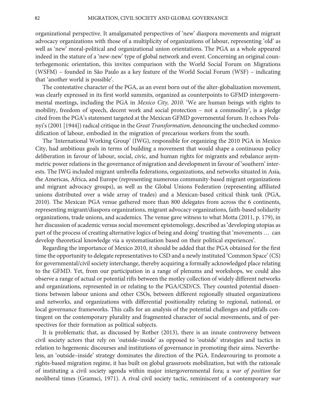organizational perspective. It amalgamated perspectives of 'new' diaspora movements and migrant advocacy organizations with those of a multiplicity of organizations of labour, representing 'old' as well as 'new' moral-political and organizational union orientations. The PGA as a whole appeared indeed in the stature of a 'new-new' type of global network and event. Concerning an original counterhegemonic orientation, this invites comparison with the World Social Forum on Migrations (WSFM) – founded in São Paulo as a key feature of the World Social Forum (WSF) – indicating that 'another world is possible'.

The contestative character of the PGA, as an event born out of the alter-globalization movement, was clearly expressed in its first world summits, organized as counterpoints to GFMD intergovernmental meetings, including the PGA in Mexico City, 2010. 'We are human beings with rights to mobility, freedom of speech, decent work and social protection – not a commodity', is a pledge cited from the PGA's statement targeted at the Mexican GFMD governmental forum. It echoes Polanyi's (2001 [1944]) radical critique in the Great Transformation, denouncing the unchecked commodification of labour, embodied in the migration of precarious workers from the south.

The 'International Working Group' (IWG), responsible for organizing the 2010 PGA in Mexico City, had ambitious goals in terms of building a movement that would shape a continuous policy deliberation in favour of labour, social, civic, and human rights for migrants and rebalance asymmetric power relations in the governance of migration and development in favour of 'southern' interests. The IWG included migrant umbrella federations, organizations, and networks situated in Asia, the Americas, Africa, and Europe (representing numerous community-based migrant organizations and migrant advocacy groups), as well as the Global Unions Federation (representing affiliated unions distributed over a wide array of trades) and a Mexican-based critical think tank (PGA, 2010). The Mexican PGA venue gathered more than 800 delegates from across the 6 continents, representing migrant/diaspora organizations, migrant advocacy organizations, faith-based solidarity organizations, trade unions, and academics. The venue gave witness to what Motta (2011, p. 179), in her discussion of academic versus social movement epistemology, described as 'developing utopias as part of the process of creating alternative logics of being and doing' trusting that 'movements … can develop theoretical knowledge via a systematisation based on their political experiences'.

Regarding the importance of Mexico 2010, it should be added that the PGA obtained for the first time the opportunity to delegate representatives to CSD and a newly instituted 'Common Space' (CS) for governmental/civil society interchange, thereby acquiring a formally acknowledged place relating to the GFMD. Yet, from our participation in a range of plenums and workshops, we could also observe a range of actual or potential rifts between the motley collection of widely different networks and organizations, represented in or relating to the PGA/CSD/CS. They counted potential dissentions between labour unions and other CSOs, between different regionally situated organizations and networks, and organizations with differential positionality relating to regional, national, or local governance frameworks. This calls for an analysis of the potential challenges and pitfalls contingent on the contemporary plurality and fragmented character of social movements, and of perspectives for their formation as political subjects.

It is problematic that, as discussed by Rother (2013), there is an innate controversy between civil society actors that rely on 'outside–inside' as opposed to 'outside' strategies and tactics in relation to hegemonic discourses and institutions of governance in promoting their aims. Nevertheless, an 'outside–inside' strategy dominates the direction of the PGA. Endeavouring to promote a rights-based migration regime, it has built on global grassroots mobilization, but with the rationale of instituting a civil society agenda within major intergovernmental fora; a war of position for neoliberal times (Gramsci, 1971). A rival civil society tactic, reminiscent of a contemporary war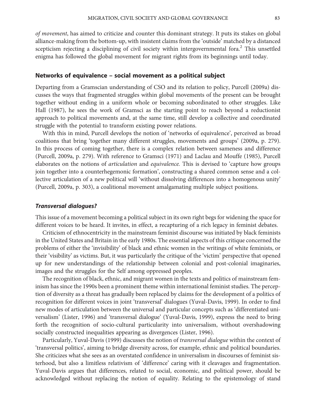of movement, has aimed to criticize and counter this dominant strategy. It puts its stakes on global alliance-making from the bottom-up, with insistent claims from the 'outside' matched by a distanced scepticism rejecting a disciplining of civil society within intergovernmental fora.<sup>2</sup> This unsettled enigma has followed the global movement for migrant rights from its beginnings until today.

#### Networks of equivalence – social movement as a political subject

Departing from a Gramscian understanding of CSO and its relation to policy, Purcell (2009a) discusses the ways that fragmented struggles within global movements of the present can be brought together without ending in a uniform whole or becoming subordinated to other struggles. Like Hall (1987), he sees the work of Gramsci as the starting point to reach beyond a reductionist approach to political movements and, at the same time, still develop a collective and coordinated struggle with the potential to transform existing power relations.

With this in mind, Purcell develops the notion of 'networks of equivalence', perceived as broad coalitions that bring 'together many different struggles, movements and groups' (2009a, p. 279). In this process of coming together, there is a complex relation between sameness and difference (Purcell, 2009a, p. 279). With reference to Gramsci (1971) and Laclau and Mouffe (1985), Purcell elaborates on the notions of articulation and equivalence. This is devised to 'capture how groups join together into a counterhegemonic formation', constructing a shared common sense and a collective articulation of a new political will 'without dissolving differences into a homogenous unity' (Purcell, 2009a, p. 303), a coalitional movement amalgamating multiple subject positions.

#### Transversal dialogues?

This issue of a movement becoming a political subject in its own right begs for widening the space for different voices to be heard. It invites, in effect, a recapturing of a rich legacy in feminist debates.

Criticism of ethnocentricity in the mainstream feminist discourse was initiated by black feminists in the United States and Britain in the early 1980s. The essential aspects of this critique concerned the problems of either the 'invisibility' of black and ethnic women in the writings of white feminists, or their 'visibility' as victims. But, it was particularly the critique of the 'victim' perspective that opened up for new understandings of the relationship between colonial and post-colonial imaginaries, images and the struggles for the Self among oppressed peoples.

The recognition of black, ethnic, and migrant women in the texts and politics of mainstream feminism has since the 1990s been a prominent theme within international feminist studies. The perception of diversity as a threat has gradually been replaced by claims for the development of a politics of recognition for different voices in joint 'transversal' dialogues (Yuval-Davis, 1999). In order to find new modes of articulation between the universal and particular concepts such as 'differentiated universalism' (Lister, 1996) and 'transversal dialogue' (Yuval-Davis, 1999), express the need to bring forth the recognition of socio-cultural particularity into universalism, without overshadowing socially constructed inequalities appearing as divergences (Lister, 1996).

Particularly, Yuval-Davis (1999) discusses the notion of transversal dialogue within the context of 'transversal politics', aiming to bridge diversity across, for example, ethnic and political boundaries. She criticizes what she sees as an overstated confidence in universalism in discourses of feminist sisterhood, but also a limitless relativism of 'difference' caring with it cleavages and fragmentation. Yuval-Davis argues that differences, related to social, economic, and political power, should be acknowledged without replacing the notion of equality. Relating to the epistemology of stand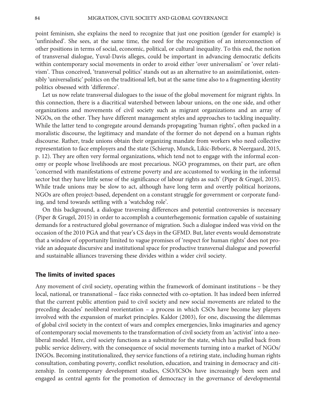point feminism, she explains the need to recognize that just one position (gender for example) is 'unfinished'. She sees, at the same time, the need for the recognition of an interconnection of other positions in terms of social, economic, political, or cultural inequality. To this end, the notion of transversal dialogue, Yuval-Davis alleges, could be important in advancing democratic deficits within contemporary social movements in order to avoid either 'over universalism' or 'over relativism'. Thus conceived, 'transversal politics' stands out as an alternative to an assimilationist, ostensibly 'universalistic' politics on the traditional left, but at the same time also to a fragmenting identity politics obsessed with 'difference'.

Let us now relate transversal dialogues to the issue of the global movement for migrant rights. In this connection, there is a diacritical watershed between labour unions, on the one side, and other organizations and movements of civil society such as migrant organizations and an array of NGOs, on the other. They have different management styles and approaches to tackling inequality. While the latter tend to congregate around demands propagating 'human rights', often packed in a moralistic discourse, the legitimacy and mandate of the former do not depend on a human rights discourse. Rather, trade unions obtain their organizing mandate from workers who need collective representation to face employers and the state (Schierup, Munck, Likic-Brboric, & Neergaard, 2015, p. 12). They are often very formal organizations, which tend not to engage with the informal economy or people whose livelihoods are most precarious. NGO programmes, on their part, are often 'concerned with manifestations of extreme poverty and are accustomed to working in the informal sector but they have little sense of the significance of labour rights as such' (Piper & Grugel, 2015). While trade unions may be slow to act, although have long term and overtly political horizons, NGOs are often project-based, dependent on a constant struggle for government or corporate funding, and tend towards settling with a 'watchdog role'.

On this background, a dialogue traversing differences and potential controversies is necessary (Piper & Grugel, 2015) in order to accomplish a counterhegemonic formation capable of sustaining demands for a restructured global governance of migration. Such a dialogue indeed was vivid on the occasion of the 2010 PGA and that year's CS days in the GFMD. But, later events would demonstrate that a window of opportunity limited to vague promises of 'respect for human rights' does not provide an adequate discursive and institutional space for productive transversal dialogue and powerful and sustainable alliances traversing these divides within a wider civil society.

#### The limits of invited spaces

Any movement of civil society, operating within the framework of dominant institutions – be they local, national, or transnational – face risks connected with co-optation. It has indeed been inferred that the current public attention paid to civil society and new social movements are related to the preceding decades' neoliberal reorientation – a process in which CSOs have become key players involved with the expansion of market principles. Kaldor (2003), for one, discussing the dilemmas of global civil society in the context of wars and complex emergencies, links imaginaries and agency of contemporary social movements to the transformation of civil society from an 'activist' into a neoliberal model. Here, civil society functions as a substitute for the state, which has pulled back from public service delivery, with the consequence of social movements turning into a market of NGOs/ INGOs. Becoming institutionalized, they service functions of a retiring state, including human rights consultation, combating poverty, conflict resolution, education, and training in democracy and citizenship. In contemporary development studies, CSO/ICSOs have increasingly been seen and engaged as central agents for the promotion of democracy in the governance of developmental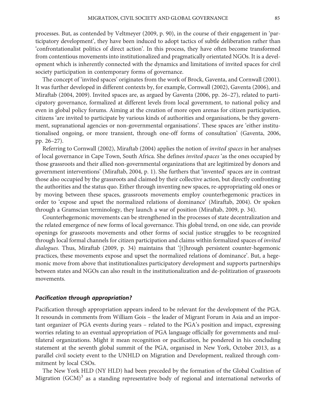processes. But, as contended by Veltmeyer (2009, p. 90), in the course of their engagement in 'participatory development', they have been induced to adopt tactics of subtle deliberation rather than 'confrontationalist politics of direct action'. In this process, they have often become transformed from contentious movements into institutionalized and pragmatically orientated NGOs. It is a development which is inherently connected with the dynamics and limitations of invited spaces for civil society participation in contemporary forms of governance.

The concept of 'invited spaces' originates from the work of Brock, Gaventa, and Cornwall (2001). It was further developed in different contexts by, for example, Cornwall (2002), Gaventa (2006), and Miraftab (2004, 2009). Invited spaces are, as argued by Gaventa (2006, pp. 26–27), related to participatory governance, formalized at different levels from local government, to national policy and even in global policy forums. Aiming at the creation of more open arenas for citizen participation, citizens 'are invited to participate by various kinds of authorities and organisations, be they government, supranational agencies or non-governmental organisations'. These spaces are 'either institutionalised ongoing, or more transient, through one-off forms of consultation' (Gaventa, 2006, pp. 26–27).

Referring to Cornwall (2002), Miraftab (2004) applies the notion of invited spaces in her analyses of local governance in Cape Town, South Africa. She defines invited spaces 'as the ones occupied by those grassroots and their allied non-governmental organizations that are legitimized by donors and government interventions' (Miraftab, 2004, p. 1). She furthers that 'invented' spaces are in contrast those also occupied by the grassroots and claimed by their collective action, but directly confronting the authorities and the status quo. Either through inventing new spaces, re-appropriating old ones or by moving between these spaces, grassroots movements employ counterhegemonic practices in order to 'expose and upset the normalized relations of dominance' (Miraftab, 2004). Or spoken through a Gramscian terminology, they launch a war of position (Miraftab, 2009, p. 34).

Counterhegemonic movements can be strengthened in the processes of state decentralization and the related emergence of new forms of local governance. This global trend, on one side, can provide openings for grassroots movements and other forms of social justice struggles to be recognized through local formal channels for citizen participation and claims within formalized spaces of *invited* dialogues. Thus, Miraftab (2009, p. 34) maintains that '[t]hrough persistent counter-hegemonic practices, these movements expose and upset the normalized relations of dominance'. But, a hegemonic move from above that institutionalizes participatory development and supports partnerships between states and NGOs can also result in the institutionalization and de-politization of grassroots movements.

#### Pacification through appropriation?

Pacification through appropriation appears indeed to be relevant for the development of the PGA. It resounds in comments from William Gois – the leader of Migrant Forum in Asia and an important organizer of PGA events during years – related to the PGA's position and impact, expressing worries relating to an eventual appropriation of PGA language officially for governments and multilateral organizations. Might it mean recognition or pacification, he pondered in his concluding statement at the seventh global summit of the PGA, organised in New York, October 2013, as a parallel civil society event to the UNHLD on Migration and Development, realized through commitment by local CSOs.

The New York HLD (NY HLD) had been preceded by the formation of the Global Coalition of Migration  $(GCM)<sup>3</sup>$  as a standing representative body of regional and international networks of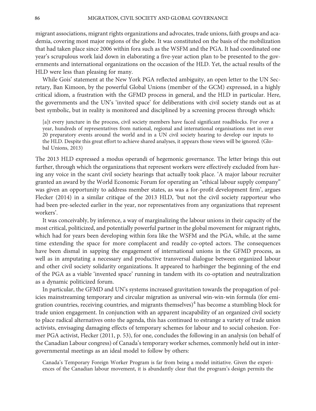migrant associations, migrant rights organizations and advocates, trade unions, faith groups and academia, covering most major regions of the globe. It was constituted on the basis of the mobilization that had taken place since 2006 within fora such as the WSFM and the PGA. It had coordinated one year's scrupulous work laid down in elaborating a five-year action plan to be presented to the governments and international organizations on the occasion of the HLD. Yet, the actual results of the HLD were less than pleasing for many.

While Gois' statement at the New York PGA reflected ambiguity, an open letter to the UN Secretary, Ban Kimoon, by the powerful Global Unions (member of the GCM) expressed, in a highly critical idiom, a frustration with the GFMD process in general, and the HLD in particular. Here, the governments and the UN's 'invited space' for deliberations with civil society stands out as at best symbolic, but in reality is monitored and disciplined by a screening process through which:

[a]t every juncture in the process, civil society members have faced significant roadblocks. For over a year, hundreds of representatives from national, regional and international organisations met in over 20 preparatory events around the world and in a UN civil society hearing to develop our inputs to the HLD. Despite this great effort to achieve shared analyses, it appears those views will be ignored. (Global Unions, 2013)

The 2013 HLD expressed a modus operandi of hegemonic governance. The letter brings this out further, through which the organizations that represent workers were effectively excluded from having any voice in the scant civil society hearings that actually took place. 'A major labour recruiter granted an award by the World Economic Forum for operating an "ethical labour supply company" was given an opportunity to address member states, as was a for-profit development firm', argues Flecker (2014) in a similar critique of the 2013 HLD, 'but not the civil society rapporteur who had been pre-selected earlier in the year, nor representatives from any organizations that represent workers'.

It was conceivably, by inference, a way of marginalizing the labour unions in their capacity of the most critical, politicized, and potentially powerful partner in the global movement for migrant rights, which had for years been developing within fora like the WSFM and the PGA, while, at the same time extending the space for more complacent and readily co-opted actors. The consequences have been dismal in sapping the engagement of international unions in the GFMD process, as well as in amputating a necessary and productive transversal dialogue between organized labour and other civil society solidarity organizations. It appeared to harbinger the beginning of the end of the PGA as a viable 'invented space' running in tandem with its co-optation and neutralization as a dynamic politicized forum.

In particular, the GFMD and UN's systems increased gravitation towards the propagation of policies mainstreaming temporary and circular migration as universal win-win-win formula (for emigration countries, receiving countries, and migrants themselves) $4$  has become a stumbling block for trade union engagement. In conjunction with an apparent incapability of an organized civil society to place radical alternatives onto the agenda, this has continued to estrange a variety of trade union activists, envisaging damaging effects of temporary schemes for labour and to social cohesion. Former PGA activist, Flecker (2011, p. 53), for one, concludes the following in an analysis (on behalf of the Canadian Labour congress) of Canada's temporary worker schemes, commonly held out in intergovernmental meetings as an ideal model to follow by others:

Canada's Temporary Foreign Worker Program is far from being a model initiative. Given the experiences of the Canadian labour movement, it is abundantly clear that the program's design permits the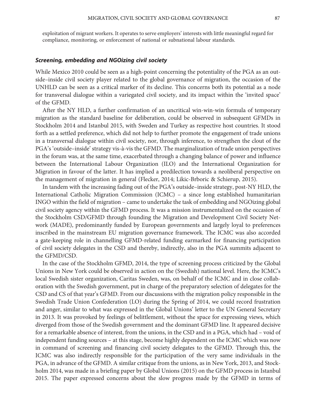exploitation of migrant workers. It operates to serve employers' interests with little meaningful regard for compliance, monitoring, or enforcement of national or subnational labour standards.

#### Screening, embedding and NGOizing civil society

While Mexico 2010 could be seen as a high-point concerning the potentiality of the PGA as an outside–inside civil society player related to the global governance of migration, the occasion of the UNHLD can be seen as a critical marker of its decline. This concerns both its potential as a node for transversal dialogue within a variegated civil society, and its impact within the 'invited space' of the GFMD.

After the NY HLD, a further confirmation of an uncritical win-win-win formula of temporary migration as the standard baseline for deliberation, could be observed in subsequent GFMDs in Stockholm 2014 and Istanbul 2015, with Sweden and Turkey as respective host countries. It stood forth as a settled preference, which did not help to further promote the engagement of trade unions in a transversal dialogue within civil society, nor, through inference, to strengthen the clout of the PGA's 'outside–inside' strategy vis-à-vis the GFMD. The marginalization of trade union perspectives in the forum was, at the same time, exacerbated through a changing balance of power and influence between the International Labour Organization (ILO) and the International Organization for Migration in favour of the latter. It has implied a predilection towards a neoliberal perspective on the management of migration in general (Flecker, 2014; Likic-Brboric & Schierup, 2015).

In tandem with the increasing fading out of the PGA's outside–inside strategy, post-NY HLD, the International Catholic Migration Commission (ICMC) – a since long established humanitarian INGO within the field of migration – came to undertake the task of embedding and NGOizing global civil society agency within the GFMD process. It was a mission instrumentalized on the occasion of the Stockholm CSD/GFMD through founding the Migration and Development Civil Society Network (MADE), predominantly funded by European governments and largely loyal to preferences inscribed in the mainstream EU migration governance framework. The ICMC was also accorded a gate-keeping role in channelling GFMD-related funding earmarked for financing participation of civil society delegates in the CSD and thereby, indirectly, also in the PGA summits adjacent to the GFMD/CSD.

In the case of the Stockholm GFMD, 2014, the type of screening process criticized by the Global Unions in New York could be observed in action on the (Swedish) national level. Here, the ICMC's local Swedish sister organization, Caritas Sweden, was, on behalf of the ICMC and in close collaboration with the Swedish government, put in charge of the preparatory selection of delegates for the CSD and CS of that year's GFMD. From our discussions with the migration policy responsible in the Swedish Trade Union Confederation (LO) during the Spring of 2014, we could record frustration and anger, similar to what was expressed in the Global Unions' letter to the UN General Secretary in 2013. It was provoked by feelings of belittlement, without the space for expressing views, which diverged from those of the Swedish government and the dominant GFMD line. It appeared decisive for a remarkable absence of interest, from the unions, in the CSD and in a PGA, which had – void of independent funding sources – at this stage, become highly dependent on the ICMC which was now in command of screening and financing civil society delegates to the GFMD. Through this, the ICMC was also indirectly responsible for the participation of the very same individuals in the PGA, in advance of the GFMD. A similar critique from the unions, as in New York, 2013, and Stockholm 2014, was made in a briefing paper by Global Unions (2015) on the GFMD process in Istanbul 2015. The paper expressed concerns about the slow progress made by the GFMD in terms of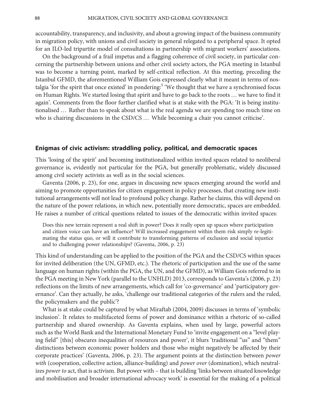accountability, transparency, and inclusivity, and about a growing impact of the business community in migration policy, with unions and civil society in general relegated to a peripheral space. It opted for an ILO-led tripartite model of consultations in partnership with migrant workers' associations.

On the background of a frail impetus and a flagging coherence of civil society, in particular concerning the partnership between unions and other civil society actors, the PGA meeting in Istanbul was to become a turning point, marked by self-critical reflection. At this meeting, preceding the Istanbul GFMD, the aforementioned William Gois expressed clearly what it meant in terms of nostalgia 'for the spirit that once existed' in pondering:<sup>5</sup> 'We thought that we have a synchronised focus on Human Rights. We started losing that spirit and have to go back to the roots … we have to find it again'. Comments from the floor further clarified what is at stake with the PGA: 'It is being institutionalised … Rather than to speak about what is the real agenda we are spending too much time on who is chairing discussions in the CSD/CS … While becoming a chair you cannot criticise'.

#### Enigmas of civic activism: straddling policy, political, and democratic spaces

This 'losing of the spirit' and becoming institutionalized within invited spaces related to neoliberal governance is, evidently not particular for the PGA, but generally problematic, widely discussed among civil society activists as well as in the social sciences.

Gaventa (2006, p. 23), for one, argues in discussing new spaces emerging around the world and aiming to promote opportunities for citizen engagement in policy processes, that creating new institutional arrangements will not lead to profound policy change. Rather he claims, this will depend on the nature of the power relations, in which new, potentially more democratic, spaces are embedded. He raises a number of critical questions related to issues of the democratic within invited spaces:

Does this new terrain represent a real shift in power? Does it really open up spaces where participation and citizen voice can have an influence? Will increased engagement within them risk simply re-legitimating the status quo, or will it contribute to transforming patterns of exclusion and social injustice and to challenging power relationships? (Gaventa, 2006, p. 23)

This kind of understanding can be applied to the position of the PGA and the CSD/CS within spaces for invited deliberation (the UN, GFMD, etc.). The rhetoric of participation and the use of the same language on human rights (within the PGA, the UN, and the GFMD), as William Gois referred to in the PGA meeting in New York (parallel to the UNHLD) 2013, corresponds to Gaventa's (2006, p. 23) reflections on the limits of new arrangements, which call for 'co-governance' and 'participatory governance'. Can they actually, he asks, 'challenge our traditional categories of the rulers and the ruled, the policymakers and the public'?

What is at stake could be captured by what Miraftab (2004, 2009) discusses in terms of 'symbolic inclusion'. It relates to multifaceted forms of power and dominance within a rhetoric of so-called partnership and shared ownership. As Gaventa explains, when used by large, powerful actors such as the World Bank and the International Monetary Fund to 'invite engagement on a "level playing field" [this] obscures inequalities of resources and power', it blurs 'traditional "us" and "them" distinctions between economic power holders and those who might negatively be affected by their corporate practices' (Gaventa, 2006, p. 23). The argument points at the distinction between power with (cooperation, collective action, alliance-building) and *power over* (domination), which neutralizes power to act, that is activism. But power with – that is building 'links between situated knowledge and mobilisation and broader international advocacy work' is essential for the making of a political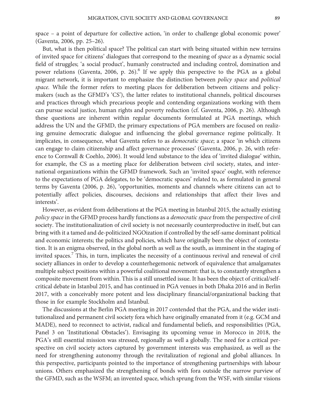space – a point of departure for collective action, 'in order to challenge global economic power' (Gaventa, 2006, pp. 25–26).

But, what is then political space? The political can start with being situated within new terrains of invited space for citizens' dialogues that correspond to the meaning of space as a dynamic social field of struggles; 'a social product', humanly constructed and including control, domination and power relations (Gaventa, 2006, p. 26).<sup>6</sup> If we apply this perspective to the PGA as a global migrant network, it is important to emphasize the distinction between policy space and political space. While the former refers to meeting places for deliberation between citizens and policymakers (such as the GFMD's 'CS'), the latter relates to institutional channels, political discourses and practices through which precarious people and contending organizations working with them can pursue social justice, human rights and poverty reduction (cf. Gaventa, 2006, p. 26). Although these questions are inherent within regular documents formulated at PGA meetings, which address the UN and the GFMD, the primary expectations of PGA members are focused on realizing genuine democratic dialogue and influencing the global governance regime politically. It implicates, in consequence, what Gaventa refers to as *democratic space*; a space 'in which citizens can engage to claim citizenship and affect governance processes' (Gaventa, 2006, p. 26, with reference to Cornwall & Coehlo, 2006). It would lend substance to the idea of 'invited dialogue' within, for example, the CS as a meeting place for deliberation between civil society, states, and international organizations within the GFMD framework. Such an 'invited space' ought, with reference to the expectations of PGA delegates, to be 'democratic spaces' related to, as formulated in general terms by Gaventa (2006, p. 26), 'opportunities, moments and channels where citizens can act to potentially affect policies, discourses, decisions and relationships that affect their lives and interests'.

However, as evident from deliberations at the PGA meeting in Istanbul 2015, the actually existing policy space in the GFMD process hardly functions as a democratic space from the perspective of civil society. The institutionalization of civil society is not necessarily counterproductive in itself, but can bring with it a tamed and de-politicized NGOization if controlled by the self-same dominant political and economic interests; the politics and policies, which have originally been the object of contestation. It is an enigma observed, in the global north as well as the south, as imminent in the staging of invited spaces.<sup>7</sup> This, in turn, implicates the necessity of a continuous revival and renewal of civil society alliances in order to develop a counterhegemonic network of equivalence that amalgamates multiple subject positions within a powerful coalitional movement: that is, to constantly strengthen a composite movement from within. This is a still unsettled issue. It has been the object of critical/selfcritical debate in Istanbul 2015, and has continued in PGA venues in both Dhaka 2016 and in Berlin 2017, with a conceivably more potent and less disciplinary financial/organizational backing that those in for example Stockholm and Istanbul.

The discussions at the Berlin PGA meeting in 2017 contended that the PGA, and the wider institutionalized and permanent civil society fora which have originally emanated from it (e.g. GCM and MADE), need to reconnect to activist, radical and fundamental beliefs, and responsibilities (PGA, Panel 3 on 'Institutional Obstacles'). Envisaging its upcoming venue in Morocco in 2018, the PGA's still essential mission was stressed, regionally as well a globally. The need for a critical perspective on civil society actors captured by government interests was emphasized, as well as the need for strengthening autonomy through the revitalization of regional and global alliances. In this perspective, participants pointed to the importance of strengthening partnerships with labour unions. Others emphasized the strengthening of bonds with fora outside the narrow purview of the GFMD, such as the WSFM; an invented space, which sprung from the WSF, with similar visions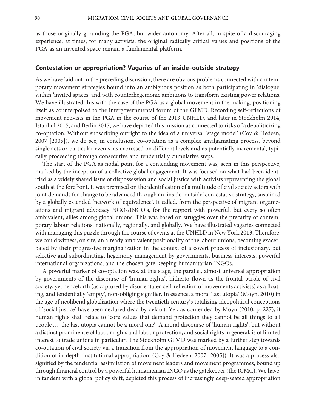as those originally grounding the PGA, but wider autonomy. After all, in spite of a discouraging experience, at times, for many activists, the original radically critical values and positions of the PGA as an invented space remain a fundamental platform.

#### Contestation or appropriation? Vagaries of an inside–outside strategy

As we have laid out in the preceding discussion, there are obvious problems connected with contemporary movement strategies bound into an ambiguous position as both participating in 'dialogue' within 'invited spaces' and with counterhegemonic ambitions to transform existing power relations. We have illustrated this with the case of the PGA as a global movement in the making, positioning itself as counterpoised to the intergovernmental forum of the GFMD. Recording self-reflections of movement activists in the PGA in the course of the 2013 UNHLD, and later in Stockholm 2014, Istanbul 2015, and Berlin 2017, we have depicted this mission as connected to risks of a depoliticizing co-optation. Without subscribing outright to the idea of a universal 'stage model' (Coy & Hedeen, 2007 [2005]), we do see, in conclusion, co-optation as a complex amalgamating process, beyond single acts or particular events, as expressed on different levels and as potentially incremental, typically proceeding through consecutive and tendentially cumulative steps.

The start of the PGA as nodal point for a contending movement was, seen in this perspective, marked by the inception of a collective global engagement. It was focused on what had been identified as a widely shared issue of dispossession and social justice with activists representing the global south at the forefront. It was premised on the identification of a multitude of civil society actors with joint demands for change to be advanced through an 'inside–outside' contestative strategy, sustained by a globally extended 'network of equivalence'. It called, from the perspective of migrant organizations and migrant advocacy NGOs/INGO's, for the rapport with powerful, but every so often ambivalent, allies among global unions. This was based on struggles over the precarity of contemporary labour relations; nationally, regionally, and globally. We have illustrated vagaries connected with managing this puzzle through the course of events at the UNHLD in New York 2013. Therefore, we could witness, on site, an already ambivalent positionality of the labour unions, becoming exacerbated by their progressive marginalization in the context of a covert process of inclusionary, but selective and subordinating, hegemony management by governments, business interests, powerful international organizations, and the chosen gate-keeping humanitarian INGOs.

A powerful marker of co-optation was, at this stage, the parallel, almost universal appropriation by governments of the discourse of 'human rights', hitherto flown as the frontal parole of civil society; yet henceforth (as captured by disorientated self-reflection of movements activists) as a floating, and tendentially 'empty', non-obliging signifier. In essence, a moral 'last utopia' (Moyn, 2010) in the age of neoliberal globalization where the twentieth century's totalizing ideopolitical conceptions of 'social justice' have been declared dead by default. Yet, as contended by Moyn (2010, p. 227), if human rights shall relate to 'core values that demand protection they cannot be all things to all people … the last utopia cannot be a moral one'. A moral discourse of 'human rights', but without a distinct prominence of labour rights and labour protection, and social rights in general, is of limited interest to trade unions in particular. The Stockholm GFMD was marked by a further step towards co-optation of civil society via a transition from the appropriation of movement language to a condition of in-depth 'institutional appropriation' (Coy & Hedeen, 2007 [2005]). It was a process also signified by the tendential assimilation of movement leaders and movement programmes, bound up through financial control by a powerful humanitarian INGO as the gatekeeper (the ICMC). We have, in tandem with a global policy shift, depicted this process of increasingly deep-seated appropriation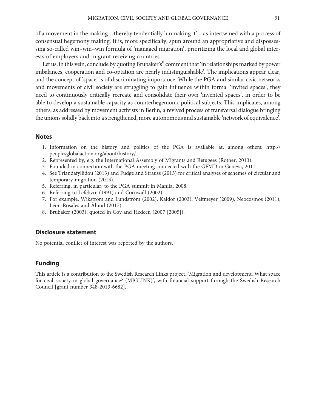of a movement in the making – thereby tendentially 'unmaking it' – as intertwined with a process of consensual hegemony making. It is, more specifically, spun around an appropriative and dispossessing so-called win–win–win formula of 'managed migration', prioritizing the local and global interests of employers and migrant receiving countries.

Let us, in this vein, conclude by quoting Brubaker's<sup>8</sup> comment that 'in relationships marked by power imbalances, cooperation and co-optation are nearly indistinguishable'. The implications appear clear, and the concept of 'space' is of discriminating importance. While the PGA and similar civic networks and movements of civil society are struggling to gain influence within formal 'invited spaces', they need to continuously critically recreate and consolidate their own 'invented spaces', in order to be able to develop a sustainable capacity as counterhegemonic political subjects. This implicates, among others, as addressed by movement activists in Berlin, a revived process of transversal dialogue bringing the unions solidly back into a strengthened, more autonomous and sustainable 'network of equivalence'.

#### **Notes**

- 1. Information on the history and politics of the PGA is available at, among others: http:// peoplesglobalaction.org/about/history/.
- 2. Represented by, e.g. the International Assembly of Migrants and Refugees (Rother, 2013).
- 3. Founded in connection with the PGA meeting connected with the GFMD in Geneva, 2011.
- 4. See Triandafyllidou (2013) and Fudge and Strauss (2013) for critical analyses of schemes of circular and temporary migration (2013).
- 5. Referring, in particular, to the PGA summit in Manila, 2008.
- 6. Referring to Lefebvre (1991) and Cornwall (2002).
- 7. For example, Wikström and Lundström (2002), Kaldor (2003), Veltmeyer (2009), Neocosmos (2011), Léon-Rosales and Ålund (2017).
- 8. Brubaker (2003), quoted in Coy and Hedeen (2007 [2005]).

### Disclosure statement

No potential conflict of interest was reported by the authors.

### Funding

This article is a contribution to the Swedish Research Links project, 'Migration and development. What space for civil society in global governance? (MIGLINK)', with financial support through the Swedish Research Council [grant number 348-2013-6682].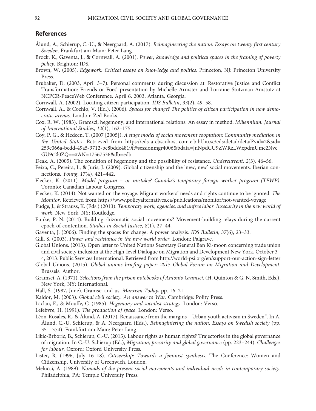#### References

- Ålund, A., Schierup, C.-U., & Neergaard, A. (2017). Reimagineering the nation. Essays on twenty first century Sweden. Frankfurt am Main: Peter Lang.
- Brock, K., Gaventa, J., & Cornwall, A. (2001). Power, knowledge and political spaces in the framing of poverty policy. Brighton: IDS.
- Brown, W. (2005). Edgework: Critical essays on knowledge and politics. Princeton, NJ: Princeton University Press.
- Brubaker, D. (2003, April 3–7). Personal comments during discussion at 'Restorative Justice and Conflict Transformation: Friends or Foes' presentation by Michelle Armster and Lorraine Stutzman-Amstutz at NCPCR-PeaceWeb Conference, April 6, 2003, Atlanta, Georgia.
- Cornwall, A. (2002). Locating citizen participation. IDS Bulletin, 33(2), 49–58.
- Cornwall, A., & Coehlo, V. (Ed.). (2006). Spaces for change? The politics of citizen participation in new democratic arenas. London: Zed Books.
- Cox, R. W. (1983). Gramsci, hegemony, and international relations: An essay in method. Millennium: Journal of International Studies, 12(1), 162–175.
- Coy, P. G., & Hedeen, T. (2007 [2005]). A stage model of social movement cooptation: Community mediation in the United States. Retrieved from https://eds-a-ebscohost-com.e.bibl.liu.se/eds/detail/detail?vid=2&sid= 259e066a-bcdd-49a5-9712-be8bdde4819f@sessionmgr4006&bdata=JnNpdGU9ZWRzLWxpdmUmc2Nvc GU9c2l0ZQ==#AN=17567536&db=edb
- Deak, A. (2005). The condition of hegemony and the possibility of resistance. Undercurrent, 2(3), 46–56.
- Feixa, C., Pereira, I., & Juris, J. (2009). Global citizenship and the 'new, new' social movements. Iberian connections. Young, 17(4), 421–442.
- Flecker, K. (2011). Model program or mistake? Canada's temporary foreign worker program (TFWP). Toronto: Canadian Labour Congress.
- Flecker, K. (2014). Not wanted on the voyage. Migrant workers' needs and rights continue to be ignored. The Monitor. Retrieved from https://www.policyalternatives.ca/publications/monitor/not-wanted-voyage
- Fudge, J., & Strauss, K. (Eds.) (2013). Temporary work, agencies, and unfree labor. Insecurity in the new world of work. New York, NY: Routledge.
- Funke, P. N. (2014). Building rhizomatic social movements? Movement-building relays during the current epoch of contention. Studies in Social Justice, 8(1), 27–44.
- Gaventa, J. (2006). Finding the spaces for change: A power analysis. IDS Bulletin, 37(6), 23–33.
- Gill, S. (2003). Power and resistance in the new world order. London: Palgrave.
- Global Unions. (2013). Open letter to United Nations Secretary General Ban Ki-moon concerning trade union and civil society inclusion at the High-level Dialogue on Migration and Development New York, October 3– 4, 2013. Public Services International. Retrieved from http://world-psi.org/en/support-our-action-sign-letter
- Global Unions. (2015). Global unions briefing paper: 2015 Global Forum on Migration and Development. Brussels: Author.
- Gramsci, A. (1971). Selections from the prison notebooks of Antonio Gramsci. (H. Quinton & G. N. Smith, Eds.), New York, NY: International.
- Hall, S. (1987, June). Gramsci and us. Marxism Today, pp. 16–21.
- Kaldor, M. (2003). Global civil society. An answer to War. Cambridge: Polity Press.
- Laclau, E., & Mouffe, C. (1985). Hegemony and socialist strategy. London: Verso.
- Lefebvre, H. (1991). The production of space. London: Verso.
- Léon-Rosales, R., & Ålund, A. (2017). Renaissance from the margins Urban youth activism in Sweden". In A. Ålund, C.-U. Schierup, & A. Neergaard (Eds.), Reimaginiering the nation. Essays on Swedish society (pp. 351–374). Frankfurt am Main: Peter Lang.
- Likic-Brboric, B., Schierup, C.-U. (2015). Labour rights as human rights? Trajectories in the global governance of migration. In C.-U. Schierup (Ed.), Migration, precarity and global governance (pp. 223–244). Challenges for labour. Oxford: Oxford University Press.
- Lister, R. (1996, July 16–18). Citizenship: Towards a feminist synthesis. The Conference: Women and Citizenship, University of Greenwich, London.
- Melucci, A. (1989). Nomads of the present social movements and individual needs in contemporary society. Philadelphia, PA: Temple University Press.